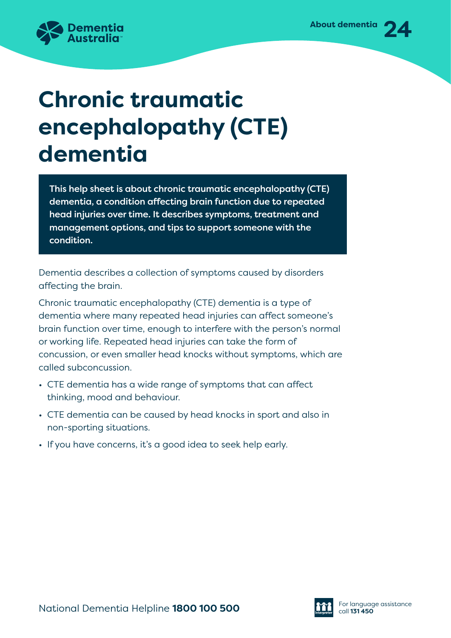

# **Chronic traumatic encephalopathy (CTE) dementia**

This help sheet is about chronic traumatic encephalopathy (CTE) dementia, a condition affecting brain function due to repeated head injuries over time. It describes symptoms, treatment and management options, and tips to support someone with the condition.

Dementia describes a collection of symptoms caused by disorders affecting the brain.

Chronic traumatic encephalopathy (CTE) dementia is a type of dementia where many repeated head injuries can affect someone's brain function over time, enough to interfere with the person's normal or working life. Repeated head injuries can take the form of concussion, or even smaller head knocks without symptoms, which are called subconcussion.

- CTE dementia has a wide range of symptoms that can affect thinking, mood and behaviour.
- CTE dementia can be caused by head knocks in sport and also in non-sporting situations.
- If you have concerns, it's a good idea to seek help early.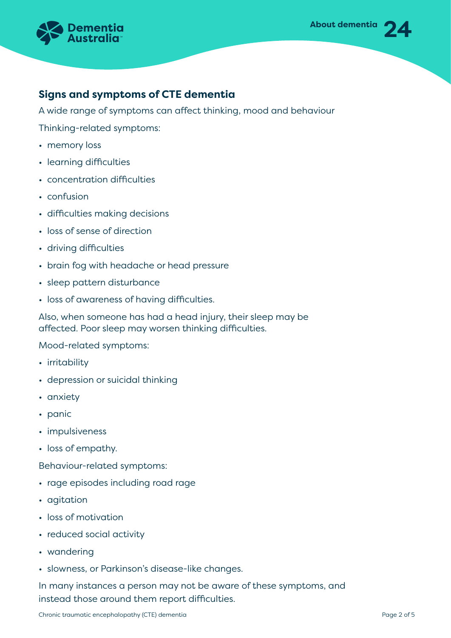

## **Signs and symptoms of CTE dementia**

A wide range of symptoms can affect thinking, mood and behaviour

Thinking-related symptoms:

- memory loss
- learning difficulties
- concentration difficulties
- confusion
- difficulties making decisions
- loss of sense of direction
- driving difficulties
- brain fog with headache or head pressure
- sleep pattern disturbance
- loss of awareness of having difficulties.

Also, when someone has had a head injury, their sleep may be affected. Poor sleep may worsen thinking difficulties.

Mood-related symptoms:

- irritability
- depression or suicidal thinking
- anxiety
- panic
- impulsiveness
- loss of empathy.

Behaviour-related symptoms:

- rage episodes including road rage
- agitation
- loss of motivation
- reduced social activity
- wandering
- slowness, or Parkinson's disease-like changes.

In many instances a person may not be aware of these symptoms, and instead those around them report difficulties.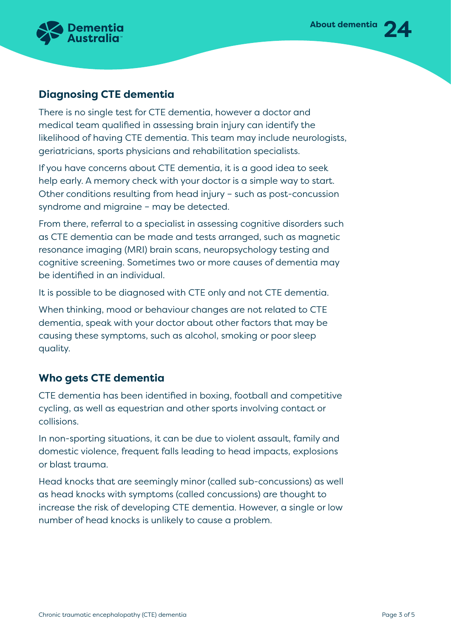

# **Diagnosing CTE dementia**

There is no single test for CTE dementia, however a doctor and medical team qualified in assessing brain injury can identify the likelihood of having CTE dementia. This team may include neurologists, geriatricians, sports physicians and rehabilitation specialists.

If you have concerns about CTE dementia, it is a good idea to seek help early. A memory check with your doctor is a simple way to start. Other conditions resulting from head injury – such as post-concussion syndrome and migraine – may be detected.

From there, referral to a specialist in assessing cognitive disorders such as CTE dementia can be made and tests arranged, such as magnetic resonance imaging (MRI) brain scans, neuropsychology testing and cognitive screening. Sometimes two or more causes of dementia may be identified in an individual.

It is possible to be diagnosed with CTE only and not CTE dementia.

When thinking, mood or behaviour changes are not related to CTE dementia, speak with your doctor about other factors that may be causing these symptoms, such as alcohol, smoking or poor sleep quality.

## **Who gets CTE dementia**

CTE dementia has been identified in boxing, football and competitive cycling, as well as equestrian and other sports involving contact or collisions.

In non-sporting situations, it can be due to violent assault, family and domestic violence, frequent falls leading to head impacts, explosions or blast trauma.

Head knocks that are seemingly minor (called sub-concussions) as well as head knocks with symptoms (called concussions) are thought to increase the risk of developing CTE dementia. However, a single or low number of head knocks is unlikely to cause a problem.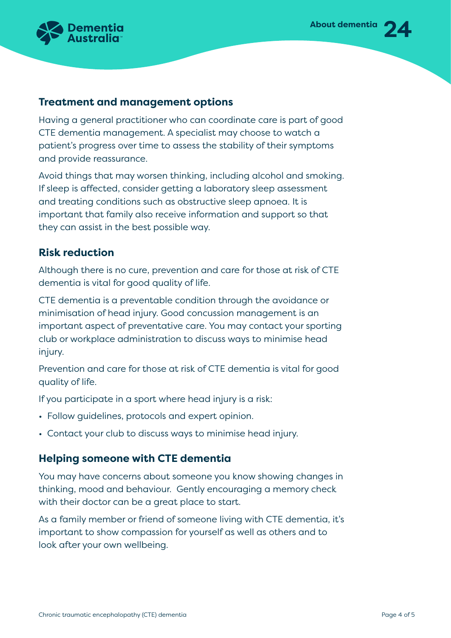



### **Treatment and management options**

Having a general practitioner who can coordinate care is part of good CTE dementia management. A specialist may choose to watch a patient's progress over time to assess the stability of their symptoms and provide reassurance.

Avoid things that may worsen thinking, including alcohol and smoking. If sleep is affected, consider getting a laboratory sleep assessment and treating conditions such as obstructive sleep apnoea. It is important that family also receive information and support so that they can assist in the best possible way.

#### **Risk reduction**

Although there is no cure, prevention and care for those at risk of CTE dementia is vital for good quality of life.

CTE dementia is a preventable condition through the avoidance or minimisation of head injury. Good concussion management is an important aspect of preventative care. You may contact your sporting club or workplace administration to discuss ways to minimise head injury.

Prevention and care for those at risk of CTE dementia is vital for good quality of life.

If you participate in a sport where head injury is a risk:

- Follow guidelines, protocols and expert opinion.
- Contact your club to discuss ways to minimise head injury.

#### **Helping someone with CTE dementia**

You may have concerns about someone you know showing changes in thinking, mood and behaviour. Gently encouraging a memory check with their doctor can be a great place to start.

As a family member or friend of someone living with CTE dementia, it's important to show compassion for yourself as well as others and to look after your own wellbeing.